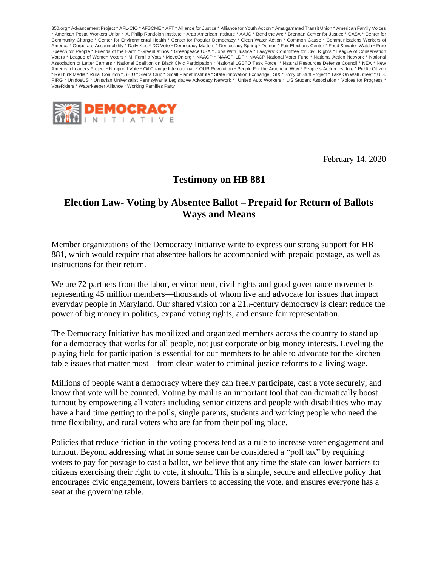350.org \* Advancement Project \* AFL-CIO \* AFSCME \* AFT \* Alliance for Justice \* Alliance for Youth Action \* Amalgamated Transit Union \* American Family Voices \* American Postal Workers Union \* A. Philip Randolph Institute \* Arab American Institute \* AAJC \* Bend the Arc \* Brennan Center for Justice \* CASA \* Center for Community Change \* Center for Environmental Health \* Center for Popular Democracy \* Clean Water Action \* Common Cause \* Communications Workers of America \* Corporate Accountability \* Daily Kos \* DC Vote \* Democracy Matters \* Democracy Spring \* Demos \* Fair Elections Center \* Food & Water Watch \* Free Speech for People \* Friends of the Earth \* GreenLatinos \* Greenpeace USA \* Jobs With Justice \* Lawyers' Committee for Civil Rights \* League of Conservation Voters \* League of Women Voters \* Mi Familia Vota \* MoveOn.org \* NAACP \* NAACP LDF \* NAACP National Voter Fund \* National Action Network \* National Association of Letter Carriers \* National Coalition on Black Civic Participation \* National LGBTQ Task Force \* Natural Resources Defense Council \* NEA \* New American Leaders Project \* Nonprofit Vote \* Oil Change International \* OUR Revolution \* People For the American Way \* People's Action Institute \* Public Citizen \* ReThink Media \* Rural Coalition \* SEIU \* Sierra Club \* Small Planet Institute \* State Innovation Exchange | SIX \* Story of Stuff Project \* Take On Wall Street \* U.S. PIRG \* UnidosUS \* Unitarian Universalist Pennsylvania Legislative Advocacy Network \* United Auto Workers \* US Student Association \* Voices for Progress \* VoteRiders \* Waterkeeper Alliance \* Working Families Party



February 14, 2020

## **Testimony on HB 881**

## **Election Law- Voting by Absentee Ballot – Prepaid for Return of Ballots Ways and Means**

Member organizations of the Democracy Initiative write to express our strong support for HB 881, which would require that absentee ballots be accompanied with prepaid postage, as well as instructions for their return.

We are 72 partners from the labor, environment, civil rights and good governance movements representing 45 million members—thousands of whom live and advocate for issues that impact everyday people in Maryland. Our shared vision for a 21st-century democracy is clear: reduce the power of big money in politics, expand voting rights, and ensure fair representation.

The Democracy Initiative has mobilized and organized members across the country to stand up for a democracy that works for all people, not just corporate or big money interests. Leveling the playing field for participation is essential for our members to be able to advocate for the kitchen table issues that matter most – from clean water to criminal justice reforms to a living wage.

Millions of people want a democracy where they can freely participate, cast a vote securely, and know that vote will be counted. Voting by mail is an important tool that can dramatically boost turnout by empowering all voters including senior citizens and people with disabilities who may have a hard time getting to the polls, single parents, students and working people who need the time flexibility, and rural voters who are far from their polling place.

Policies that reduce friction in the voting process tend as a rule to increase voter engagement and turnout. Beyond addressing what in some sense can be considered a "poll tax" by requiring voters to pay for postage to cast a ballot, we believe that any time the state can lower barriers to citizens exercising their right to vote, it should. This is a simple, secure and effective policy that encourages civic engagement, lowers barriers to accessing the vote, and ensures everyone has a seat at the governing table.